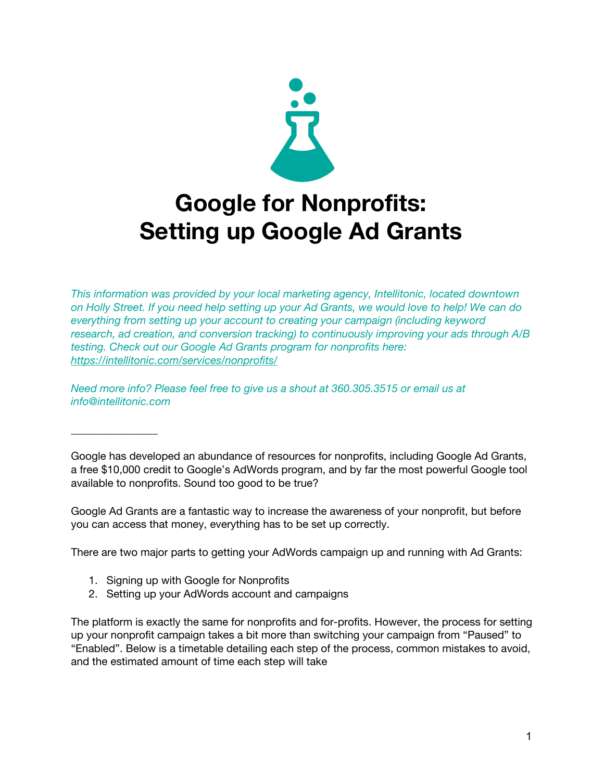

*This information was provided by your local marketing agency, Intellitonic, located downtown* on Holly Street. If you need help setting up your Ad Grants, we would love to help! We can do *everything from setting up your account to creating your campaign (including keyword research, ad creation, and conversion tracking) to continuously improving your ads through A/B testing. Check out our Google Ad Grants program for nonprofits here: <https://intellitonic.com/services/nonprofits/>*

*Need more info? Please feel free to give us a shout at 360.305.3515 or email us at info@intellitonic.com*

Google has developed an abundance of resources for nonprofits, including Google Ad Grants, a free \$10,000 credit to Google's AdWords program, and by far the most powerful Google tool available to nonprofits. Sound too good to be true?

Google Ad Grants are a fantastic way to increase the awareness of your nonprofit, but before you can access that money, everything has to be set up correctly.

There are two major parts to getting your AdWords campaign up and running with Ad Grants:

1. Signing up with Google for Nonprofits

\_\_\_\_\_\_\_\_\_\_\_\_\_\_\_\_

2. Setting up your AdWords account and campaigns

The platform is exactly the same for nonprofits and for-profits. However, the process for setting up your nonprofit campaign takes a bit more than switching your campaign from "Paused" to "Enabled". Below is a timetable detailing each step of the process, common mistakes to avoid, and the estimated amount of time each step will take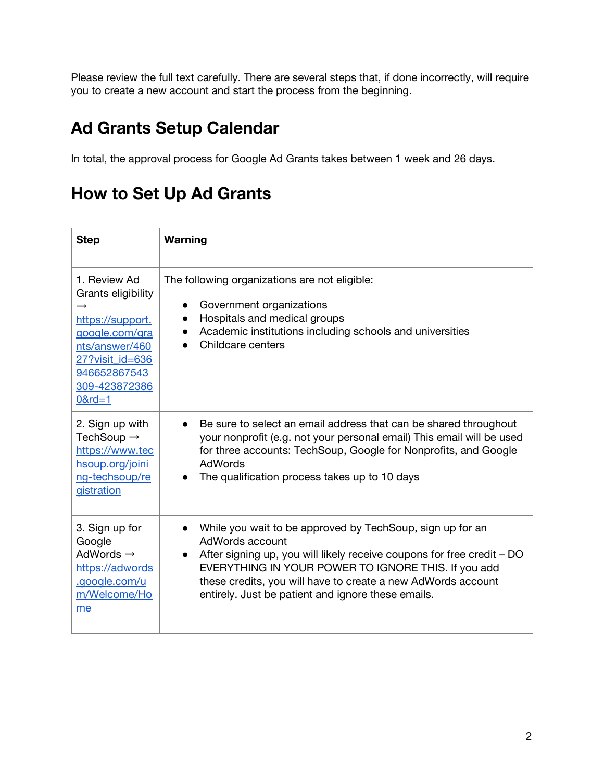Please review the full text carefully. There are several steps that, if done incorrectly, will require you to create a new account and start the process from the beginning.

## **Ad Grants Setup Calendar**

In total, the approval process for Google Ad Grants takes between 1 week and 26 days.

## **How to Set Up Ad Grants**

| <b>Step</b>                                                                                                                                                  | Warning                                                                                                                                                                                                                                                                                                                                                       |
|--------------------------------------------------------------------------------------------------------------------------------------------------------------|---------------------------------------------------------------------------------------------------------------------------------------------------------------------------------------------------------------------------------------------------------------------------------------------------------------------------------------------------------------|
| 1. Review Ad<br>Grants eligibility<br>https://support.<br>google.com/gra<br>nts/answer/460<br>27? visit id=636<br>946652867543<br>309-423872386<br>$0$ &rd=1 | The following organizations are not eligible:<br>Government organizations<br>$\bullet$<br>Hospitals and medical groups<br>$\bullet$<br>Academic institutions including schools and universities<br>Childcare centers                                                                                                                                          |
| 2. Sign up with<br>TechSoup $\rightarrow$<br>https://www.tec<br>hsoup.org/joini<br>ng-techsoup/re<br>gistration                                              | Be sure to select an email address that can be shared throughout<br>$\bullet$<br>your nonprofit (e.g. not your personal email) This email will be used<br>for three accounts: TechSoup, Google for Nonprofits, and Google<br>AdWords<br>The qualification process takes up to 10 days                                                                         |
| 3. Sign up for<br>Google<br>AdWords $\rightarrow$<br>https://adwords<br>.google.com/u<br>m/Welcome/Ho<br>me                                                  | While you wait to be approved by TechSoup, sign up for an<br>$\bullet$<br>AdWords account<br>After signing up, you will likely receive coupons for free credit – DO<br>$\bullet$<br>EVERYTHING IN YOUR POWER TO IGNORE THIS. If you add<br>these credits, you will have to create a new AdWords account<br>entirely. Just be patient and ignore these emails. |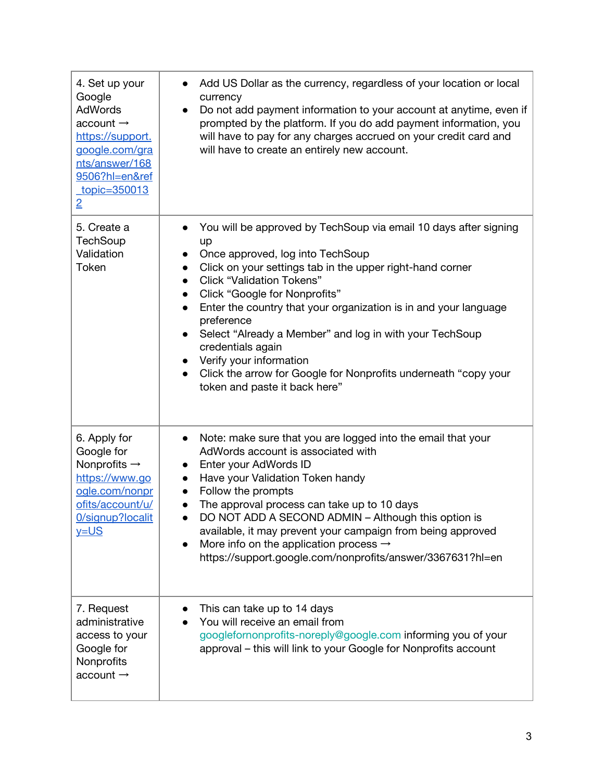| 4. Set up your<br>Google<br><b>AdWords</b><br>account $\rightarrow$<br>https://support.<br>google.com/gra<br>nts/answer/168<br>9506?hl=en&ref<br>topic=350013<br>$\overline{2}$ | Add US Dollar as the currency, regardless of your location or local<br>currency<br>Do not add payment information to your account at anytime, even if<br>$\bullet$<br>prompted by the platform. If you do add payment information, you<br>will have to pay for any charges accrued on your credit card and<br>will have to create an entirely new account.                                                                                                                                                                                                                                                                                                         |
|---------------------------------------------------------------------------------------------------------------------------------------------------------------------------------|--------------------------------------------------------------------------------------------------------------------------------------------------------------------------------------------------------------------------------------------------------------------------------------------------------------------------------------------------------------------------------------------------------------------------------------------------------------------------------------------------------------------------------------------------------------------------------------------------------------------------------------------------------------------|
| 5. Create a<br><b>TechSoup</b><br>Validation<br>Token                                                                                                                           | You will be approved by TechSoup via email 10 days after signing<br>$\bullet$<br>up<br>Once approved, log into TechSoup<br>$\bullet$<br>Click on your settings tab in the upper right-hand corner<br>$\bullet$<br><b>Click "Validation Tokens"</b><br>$\bullet$<br>Click "Google for Nonprofits"<br>$\bullet$<br>Enter the country that your organization is in and your language<br>$\bullet$<br>preference<br>Select "Already a Member" and log in with your TechSoup<br>$\bullet$<br>credentials again<br>Verify your information<br>$\bullet$<br>Click the arrow for Google for Nonprofits underneath "copy your<br>$\bullet$<br>token and paste it back here" |
| 6. Apply for<br>Google for<br>Nonprofits $\rightarrow$<br>https://www.go<br>ogle.com/nonpr<br>ofits/account/u/<br>0/signup?localit<br>$y = US$                                  | Note: make sure that you are logged into the email that your<br>$\bullet$<br>AdWords account is associated with<br>Enter your AdWords ID<br>$\bullet$<br>Have your Validation Token handy<br>$\bullet$<br>Follow the prompts<br>$\bullet$<br>The approval process can take up to 10 days<br>$\bullet$<br>DO NOT ADD A SECOND ADMIN - Although this option is<br>available, it may prevent your campaign from being approved<br>More info on the application process $\rightarrow$<br>https://support.google.com/nonprofits/answer/3367631?hl=en                                                                                                                    |
| 7. Request<br>administrative<br>access to your<br>Google for<br>Nonprofits<br>account $\rightarrow$                                                                             | This can take up to 14 days<br>You will receive an email from<br>googlefornonprofits-noreply@google.com informing you of your<br>approval - this will link to your Google for Nonprofits account                                                                                                                                                                                                                                                                                                                                                                                                                                                                   |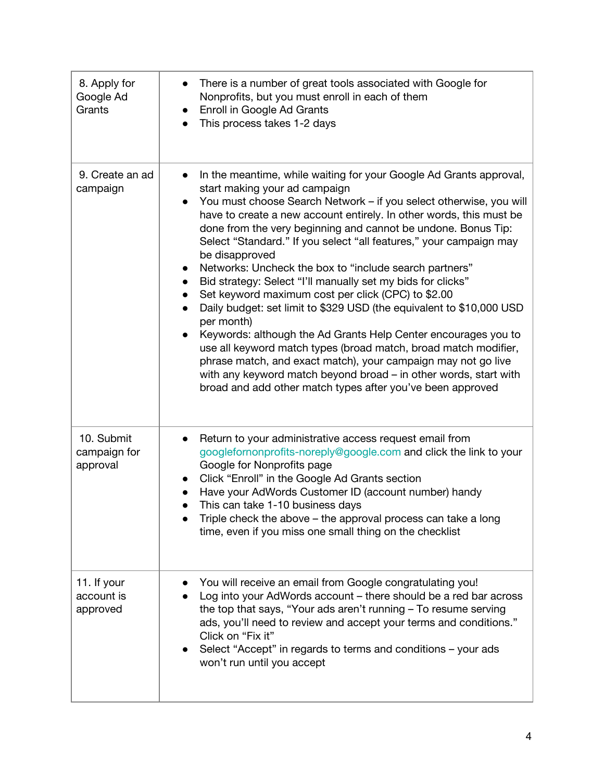| 8. Apply for<br>Google Ad<br>Grants    | There is a number of great tools associated with Google for<br>$\bullet$<br>Nonprofits, but you must enroll in each of them<br>Enroll in Google Ad Grants<br>$\bullet$<br>This process takes 1-2 days                                                                                                                                                                                                                                                                                                                                                                                                                                                                                                                                                                                                                                                                                                                                                                                                                                            |
|----------------------------------------|--------------------------------------------------------------------------------------------------------------------------------------------------------------------------------------------------------------------------------------------------------------------------------------------------------------------------------------------------------------------------------------------------------------------------------------------------------------------------------------------------------------------------------------------------------------------------------------------------------------------------------------------------------------------------------------------------------------------------------------------------------------------------------------------------------------------------------------------------------------------------------------------------------------------------------------------------------------------------------------------------------------------------------------------------|
| 9. Create an ad<br>campaign            | In the meantime, while waiting for your Google Ad Grants approval,<br>$\bullet$<br>start making your ad campaign<br>You must choose Search Network – if you select otherwise, you will<br>$\bullet$<br>have to create a new account entirely. In other words, this must be<br>done from the very beginning and cannot be undone. Bonus Tip:<br>Select "Standard." If you select "all features," your campaign may<br>be disapproved<br>Networks: Uncheck the box to "include search partners"<br>Bid strategy: Select "I'll manually set my bids for clicks"<br>Set keyword maximum cost per click (CPC) to \$2.00<br>Daily budget: set limit to \$329 USD (the equivalent to \$10,000 USD<br>per month)<br>Keywords: although the Ad Grants Help Center encourages you to<br>use all keyword match types (broad match, broad match modifier,<br>phrase match, and exact match), your campaign may not go live<br>with any keyword match beyond broad – in other words, start with<br>broad and add other match types after you've been approved |
| 10. Submit<br>campaign for<br>approval | Return to your administrative access request email from<br>$\bullet$<br>googlefornonprofits-noreply@google.com and click the link to your<br>Google for Nonprofits page<br>Click "Enroll" in the Google Ad Grants section<br>$\bullet$<br>Have your AdWords Customer ID (account number) handy<br>This can take 1-10 business days<br>$\bullet$<br>Triple check the above - the approval process can take a long<br>time, even if you miss one small thing on the checklist                                                                                                                                                                                                                                                                                                                                                                                                                                                                                                                                                                      |
| 11. If your<br>account is<br>approved  | You will receive an email from Google congratulating you!<br>Log into your AdWords account - there should be a red bar across<br>the top that says, "Your ads aren't running - To resume serving<br>ads, you'll need to review and accept your terms and conditions."<br>Click on "Fix it"<br>Select "Accept" in regards to terms and conditions - your ads<br>won't run until you accept                                                                                                                                                                                                                                                                                                                                                                                                                                                                                                                                                                                                                                                        |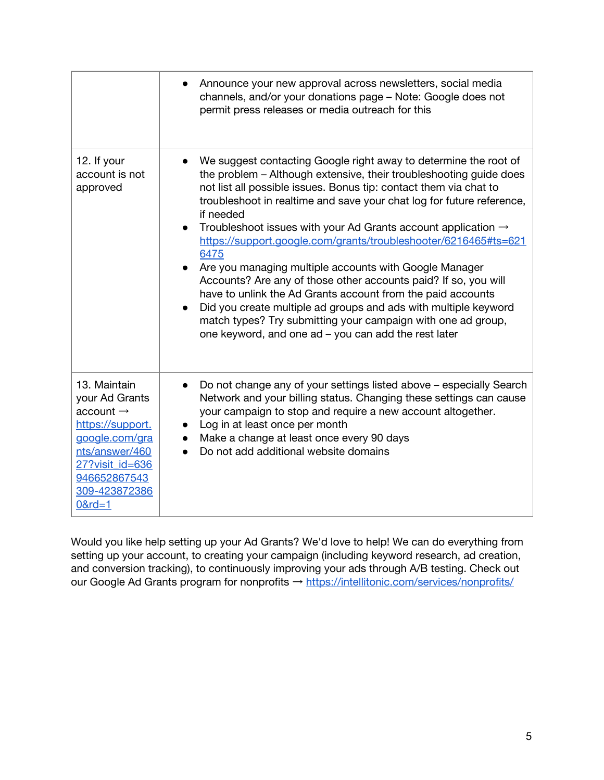|                                                                                                                                                                                   | Announce your new approval across newsletters, social media<br>channels, and/or your donations page - Note: Google does not<br>permit press releases or media outreach for this                                                                                                                                                                                                                                                                                                                                                                                                                                                                                                                                                                                                                                                                               |
|-----------------------------------------------------------------------------------------------------------------------------------------------------------------------------------|---------------------------------------------------------------------------------------------------------------------------------------------------------------------------------------------------------------------------------------------------------------------------------------------------------------------------------------------------------------------------------------------------------------------------------------------------------------------------------------------------------------------------------------------------------------------------------------------------------------------------------------------------------------------------------------------------------------------------------------------------------------------------------------------------------------------------------------------------------------|
| 12. If your<br>account is not<br>approved                                                                                                                                         | We suggest contacting Google right away to determine the root of<br>the problem - Although extensive, their troubleshooting guide does<br>not list all possible issues. Bonus tip: contact them via chat to<br>troubleshoot in realtime and save your chat log for future reference,<br>if needed<br>Troubleshoot issues with your Ad Grants account application $\rightarrow$<br>$\bullet$<br>https://support.google.com/grants/troubleshooter/6216465#ts=621<br>6475<br>Are you managing multiple accounts with Google Manager<br>Accounts? Are any of those other accounts paid? If so, you will<br>have to unlink the Ad Grants account from the paid accounts<br>Did you create multiple ad groups and ads with multiple keyword<br>match types? Try submitting your campaign with one ad group,<br>one keyword, and one ad - you can add the rest later |
| 13. Maintain<br>your Ad Grants<br>account $\rightarrow$<br>https://support.<br>google.com/gra<br>nts/answer/460<br>27? visit id=636<br>946652867543<br>309-423872386<br>$0$ &rd=1 | Do not change any of your settings listed above - especially Search<br>Network and your billing status. Changing these settings can cause<br>your campaign to stop and require a new account altogether.<br>Log in at least once per month<br>Make a change at least once every 90 days<br>Do not add additional website domains                                                                                                                                                                                                                                                                                                                                                                                                                                                                                                                              |

Would you like help setting up your Ad Grants? We'd love to help! We can do everything from setting up your account, to creating your campaign (including keyword research, ad creation, and conversion tracking), to continuously improving your ads through A/B testing. Check out our Google Ad Grants program for nonprofits → <https://intellitonic.com/services/nonprofits/>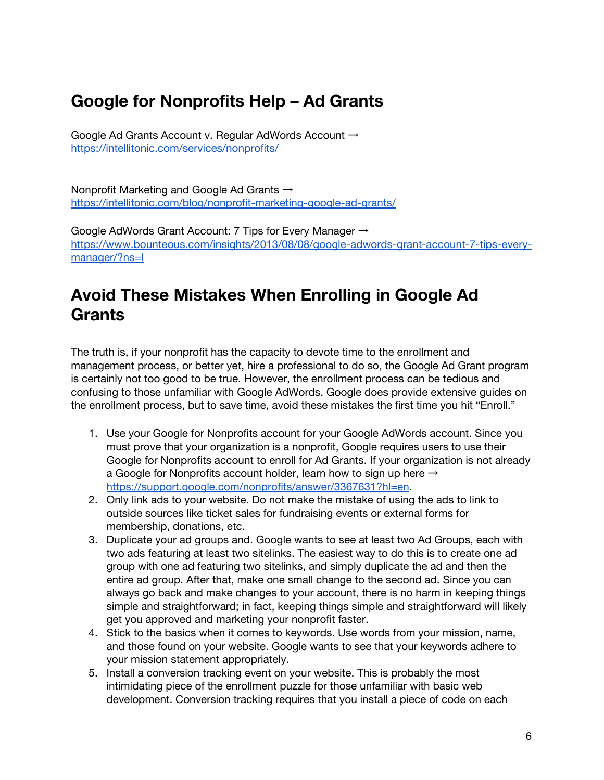## **Google for Nonprofits Help – Ad Grants**

Google Ad Grants Account v. Regular AdWords Account → <https://intellitonic.com/services/nonprofits/>

Nonprofit Marketing and Google Ad Grants → <https://intellitonic.com/blog/nonprofit-marketing-google-ad-grants/>

Google AdWords Grant Account: 7 Tips for Every Manager → [https://www.bounteous.com/insights/2013/08/08/google-adwords-grant-account-7-tips-every](https://www.bounteous.com/insights/2013/08/08/google-adwords-grant-account-7-tips-every-manager/?ns=l)[manager/?ns=l](https://www.bounteous.com/insights/2013/08/08/google-adwords-grant-account-7-tips-every-manager/?ns=l)

## **Avoid These Mistakes When Enrolling in Google Ad Grants**

The truth is, if your nonprofit has the capacity to devote time to the enrollment and management process, or better yet, hire a professional to do so, the Google Ad Grant program is certainly not too good to be true. However, the enrollment process can be tedious and confusing to those unfamiliar with Google AdWords. Google does provide extensive guides on the enrollment process, but to save time, avoid these mistakes the first time you hit "Enroll."

- 1. Use your Google for Nonprofits account for your Google AdWords account. Since you must prove that your organization is a nonprofit, Google requires users to use their Google for Nonprofits account to enroll for Ad Grants. If your organization is not already a Google for Nonprofits account holder, learn how to sign up here  $\rightarrow$ [https://support.google.com/nonprofits/answer/3367631?hl=en.](https://support.google.com/nonprofits/answer/3367631?hl=en)
- 2. Only link ads to your website. Do not make the mistake of using the ads to link to outside sources like ticket sales for fundraising events or external forms for membership, donations, etc.
- 3. Duplicate your ad groups and. Google wants to see at least two Ad Groups, each with two ads featuring at least two sitelinks. The easiest way to do this is to create one ad group with one ad featuring two sitelinks, and simply duplicate the ad and then the entire ad group. After that, make one small change to the second ad. Since you can always go back and make changes to your account, there is no harm in keeping things simple and straightforward; in fact, keeping things simple and straightforward will likely get you approved and marketing your nonprofit faster.
- 4. Stick to the basics when it comes to keywords. Use words from your mission, name, and those found on your website. Google wants to see that your keywords adhere to your mission statement appropriately.
- 5. Install a conversion tracking event on your website. This is probably the most intimidating piece of the enrollment puzzle for those unfamiliar with basic web development. Conversion tracking requires that you install a piece of code on each